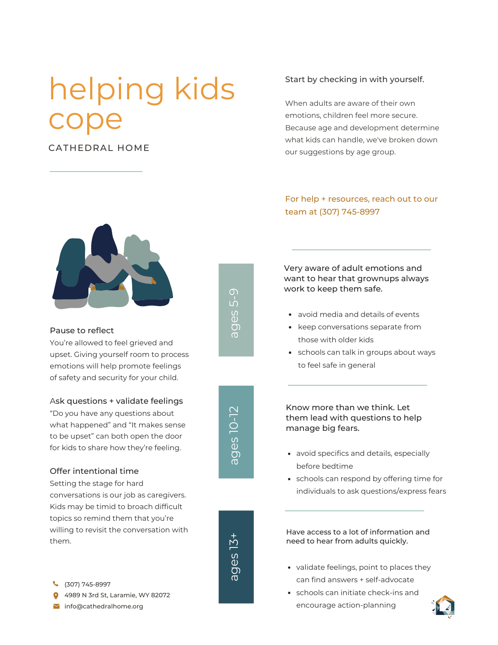# helping kids cope

#### CATHEDRAL HOME



### ൛ O) ဟ<br>ပ 5-9

#### Pause to reflect

You're allowed to feel grieved and upset. Giving yourself room to process emotions will help promote feelings of safety and security for your child.

#### Ask questions + validate feelings

"Do you have any questions about what happened" and "It makes sense to be upset" can both open the door for kids to share how they're feeling.

#### Offer intentional time

Setting the stage for hard conversations is our job as caregivers. Kids may be timid to broach difficult topics so remind them that you're willing to revisit the conversation with them.

- (307) 745-8997
- 4989 N 3rd St, Laramie, WY 82072
- Info@cathedralhome.org

#### Start by checking in with yourself.

When adults are aware of their own emotions, children feel more secure. Because age and development determine what kids can handle, we've broken down our suggestions by age group.

#### For help + resources, reach out to our team at (307) 745-8997

Very aware of adult emotions and want to hear that grownups always work to keep them safe.

- avoid media and details of events
- keep conversations separate from those with older kids
- schools can talk in groups about ways to feel safe in general

Know more than we think. Let them lead with questions to help manage big fears.

- avoid specifics and details, especially before bedtime
- schools can respond by offering time for individuals to ask questions/express fears

Have access to a lot of information and need to hear from adults quickly.

- validate feelings, point to places they can find answers + self-advocate
- schools can initiate check-ins and encourage action-planning





ത ටා ഗ<br>ധ 13 +